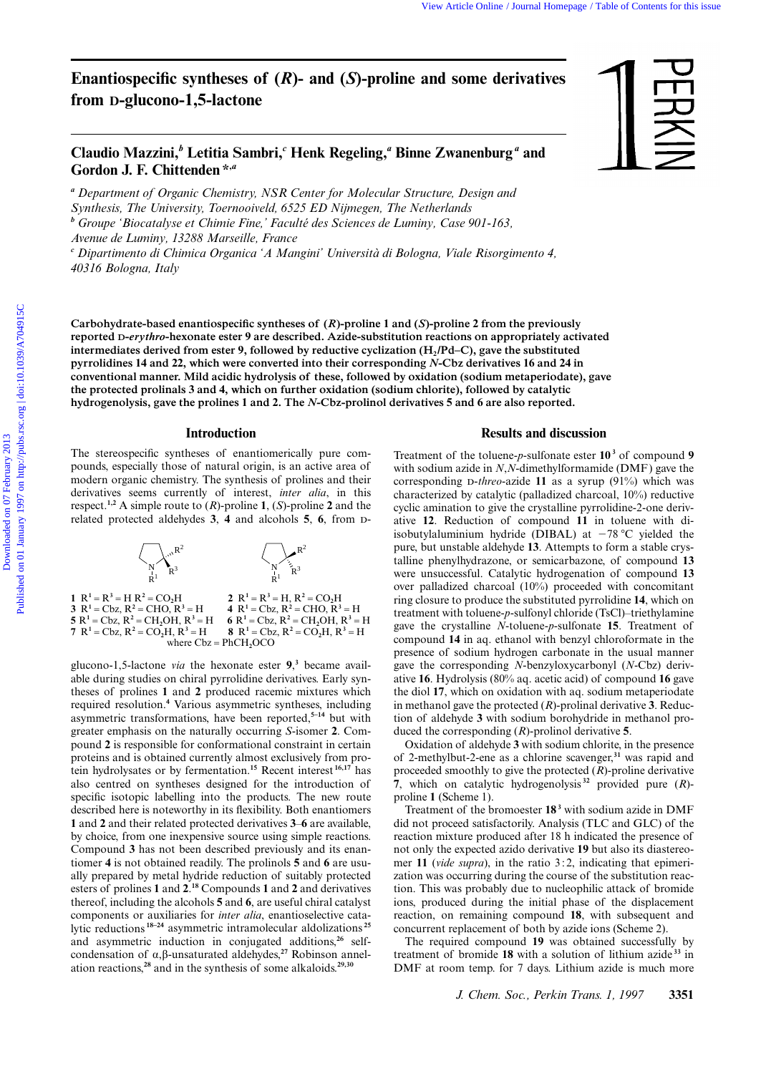# **Enantiospecific syntheses of (***R***)- and (***S***)-proline and some derivatives from D-glucono-1,5-lactone**

## Claudio Mazzini,<sup>*b*</sup> Letitia Sambri,<sup>*c*</sup> Henk Regeling,<sup>*a*</sup> Binne Zwanenburg<sup>*a*</sup> and **Gordon J. F. Chittenden \*,***<sup>a</sup>*

*<sup>a</sup> Department of Organic Chemistry, NSR Center for Molecular Structure, Design and Synthesis, The University, Toernooiveld, 6525 ED Nijmegen, The Netherlands <sup>b</sup> Groupe 'Biocatalyse et Chimie Fine,' Faculté des Sciences de Luminy, Case 901-163, Avenue de Luminy, 13288 Marseille, France*

*<sup>c</sup> Dipartimento di Chimica Organica 'A Mangini' Università di Bologna, Viale Risorgimento 4, 40316 Bologna, Italy*

**Carbohydrate-based enantiospecific syntheses of (***R***)-proline 1 and (***S***)-proline 2 from the previously reported D-***erythro***-hexonate ester 9 are described. Azide-substitution reactions on appropriately activated** intermediates derived from ester 9, followed by reductive cyclization (H<sub>2</sub>/Pd–C), gave the substituted **pyrrolidines 14 and 22, which were converted into their corresponding** *N***-Cbz derivatives 16 and 24 in conventional manner. Mild acidic hydrolysis of these, followed by oxidation (sodium metaperiodate), gave the protected prolinals 3 and 4, which on further oxidation (sodium chlorite), followed by catalytic hydrogenolysis, gave the prolines 1 and 2. The** *N***-Cbz-prolinol derivatives 5 and 6 are also reported.**

#### **Introduction**

The stereospecific syntheses of enantiomerically pure compounds, especially those of natural origin, is an active area of modern organic chemistry. The synthesis of prolines and their derivatives seems currently of interest, *inter alia*, in this respect.**1,2** A simple route to (*R*)-proline **1**, (*S*)-proline **2** and the related protected aldehydes **3**, **4** and alcohols **5**, **6**, from -



glucono-1,5-lactone *via* the hexonate ester **9**, **3** became available during studies on chiral pyrrolidine derivatives. Early syntheses of prolines **1** and **2** produced racemic mixtures which required resolution.**<sup>4</sup>** Various asymmetric syntheses, including asymmetric transformations, have been reported,**5–14** but with greater emphasis on the naturally occurring *S*-isomer **2**. Compound **2** is responsible for conformational constraint in certain proteins and is obtained currently almost exclusively from protein hydrolysates or by fermentation.**<sup>15</sup>** Recent interest **16,17** has also centred on syntheses designed for the introduction of specific isotopic labelling into the products. The new route described here is noteworthy in its flexibility. Both enantiomers **1** and **2** and their related protected derivatives **3**–**6** are available, by choice, from one inexpensive source using simple reactions. Compound **3** has not been described previously and its enantiomer **4** is not obtained readily. The prolinols **5** and **6** are usually prepared by metal hydride reduction of suitably protected esters of prolines **1** and **2**. **<sup>18</sup>** Compounds **1** and **2** and derivatives thereof, including the alcohols **5** and **6**, are useful chiral catalyst components or auxiliaries for *inter alia*, enantioselective catalytic reductions **18–24** asymmetric intramolecular aldolizations **<sup>25</sup>** and asymmetric induction in conjugated additions,**26** selfcondensation of α,β-unsaturated aldehydes,**27** Robinson annelation reactions,**<sup>28</sup>** and in the synthesis of some alkaloids.**29,30**

## **Results and discussion**

Treatment of the toluene-*p*-sulfonate ester **10 <sup>3</sup>** of compound **9** with sodium azide in *N*,*N*-dimethylformamide (DMF) gave the corresponding D-*threo*-azide 11 as a syrup (91%) which was characterized by catalytic (palladized charcoal, 10%) reductive cyclic amination to give the crystalline pyrrolidine-2-one derivative **12**. Reduction of compound **11** in toluene with diisobutylaluminium hydride (DIBAL) at  $-78$  °C yielded the pure, but unstable aldehyde **13**. Attempts to form a stable crystalline phenylhydrazone, or semicarbazone, of compound **13** were unsuccessful. Catalytic hydrogenation of compound **13** over palladized charcoal (10%) proceeded with concomitant ring closure to produce the substituted pyrrolidine **14**, which on treatment with toluene-*p*-sulfonyl chloride (TsCl)–triethylamine gave the crystalline *N*-toluene-*p*-sulfonate **15**. Treatment of compound **14** in aq. ethanol with benzyl chloroformate in the presence of sodium hydrogen carbonate in the usual manner gave the corresponding *N*-benzyloxycarbonyl (*N*-Cbz) derivative **16**. Hydrolysis (80% aq. acetic acid) of compound **16** gave the diol **17**, which on oxidation with aq. sodium metaperiodate in methanol gave the protected (*R*)-prolinal derivative **3**. Reduction of aldehyde **3** with sodium borohydride in methanol produced the corresponding (*R*)-prolinol derivative **5**. View Active thus channel Homepage This of Contents of CR)-prodine and some derivatives<br> **Claudio Mazzini,<sup>4</sup>** Lettins Sambri,<sup>4</sup> Henk Regeling,<sup>4</sup> Binne Zwamenburg <sup>4</sup> and<br>
Cordon J. F. Chittenden <sup>6</sup><br>
<sup>2</sup> Domesme of Orga

> Oxidation of aldehyde **3** with sodium chlorite, in the presence of 2-methylbut-2-ene as a chlorine scavenger,**<sup>31</sup>** was rapid and proceeded smoothly to give the protected (*R*)-proline derivative **7**, which on catalytic hydrogenolysis **<sup>32</sup>** provided pure (*R*) proline **1** (Scheme 1).

> Treatment of the bromoester **18 <sup>3</sup>** with sodium azide in DMF did not proceed satisfactorily. Analysis (TLC and GLC) of the reaction mixture produced after 18 h indicated the presence of not only the expected azido derivative **19** but also its diastereomer 11 (*vide supra*), in the ratio 3:2, indicating that epimerization was occurring during the course of the substitution reaction. This was probably due to nucleophilic attack of bromide ions, produced during the initial phase of the displacement reaction, on remaining compound **18**, with subsequent and concurrent replacement of both by azide ions (Scheme 2).

> The required compound **19** was obtained successfully by treatment of bromide **18** with a solution of lithium azide **<sup>33</sup>** in DMF at room temp. for 7 days. Lithium azide is much more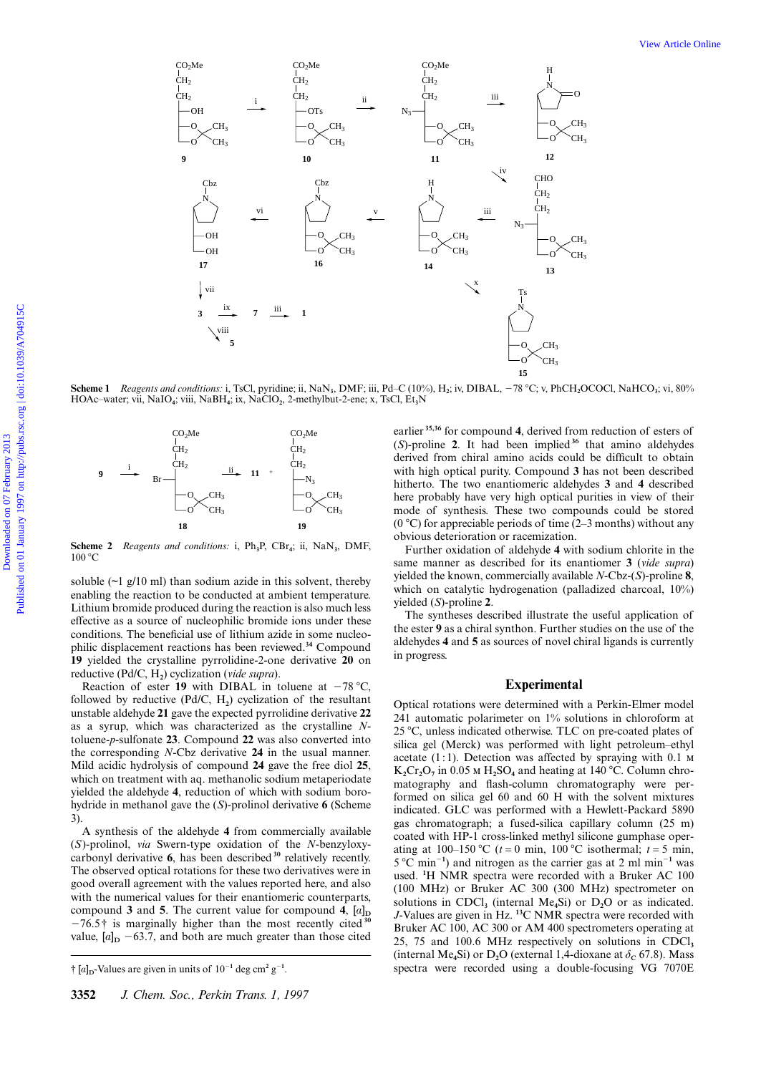

**Scheme 1** *Reagents and conditions:* i, TsCl, pyridine; ii, NaN**3**, DMF; iii, Pd–C (10%), H**2**; iv, DIBAL, 278 8C; v, PhCH**2**OCOCl, NaHCO**3**; vi, 80% HOAc–water; vii, NaIO**4**; viii, NaBH**4**; ix, NaClO**2**, 2-methylbut-2-ene; x, TsCl, Et**3**N



**Scheme 2** *Reagents and conditions:* i, Ph**3**P, CBr**4**; ii, NaN**3**, DMF,  $100 °C$ 

soluble  $(\sim]$  g/10 ml) than sodium azide in this solvent, thereby enabling the reaction to be conducted at ambient temperature. Lithium bromide produced during the reaction is also much less effective as a source of nucleophilic bromide ions under these conditions. The beneficial use of lithium azide in some nucleophilic displacement reactions has been reviewed.**<sup>34</sup>** Compound **19** yielded the crystalline pyrrolidine-2-one derivative **20** on reductive (Pd/C, H**2**) cyclization (*vide supra*).

Reaction of ester 19 with DIBAL in toluene at  $-78$  °C, followed by reductive  $(Pd/C, H_2)$  cyclization of the resultant unstable aldehyde **21** gave the expected pyrrolidine derivative **22** as a syrup, which was characterized as the crystalline *N*toluene-*p*-sulfonate **23**. Compound **22** was also converted into the corresponding *N*-Cbz derivative **24** in the usual manner. Mild acidic hydrolysis of compound **24** gave the free diol **25**, which on treatment with aq. methanolic sodium metaperiodate yielded the aldehyde **4**, reduction of which with sodium borohydride in methanol gave the (*S*)-prolinol derivative **6** (Scheme 3).

A synthesis of the aldehyde **4** from commercially available (*S*)-prolinol, *via* Swern-type oxidation of the *N*-benzyloxycarbonyl derivative **6**, has been described**<sup>30</sup>** relatively recently. The observed optical rotations for these two derivatives were in good overall agreement with the values reported here, and also with the numerical values for their enantiomeric counterparts, compound **3** and **5**. The current value for compound **4**,  $[a]_D$  $-76.5\dagger$  is marginally higher than the most recently cited<sup>30</sup> value,  $[a]_D$  -63.7, and both are much greater than those cited earlier **35,36** for compound **4**, derived from reduction of esters of (*S*)-proline **2**. It had been implied**<sup>36</sup>** that amino aldehydes derived from chiral amino acids could be difficult to obtain with high optical purity. Compound **3** has not been described hitherto. The two enantiomeric aldehydes **3** and **4** described here probably have very high optical purities in view of their mode of synthesis. These two compounds could be stored (0 °C) for appreciable periods of time (2–3 months) without any obvious deterioration or racemization.

Further oxidation of aldehyde **4** with sodium chlorite in the same manner as described for its enantiomer **3** (*vide supra*) yielded the known, commercially available *N*-Cbz-(*S*)-proline **8**, which on catalytic hydrogenation (palladized charcoal, 10%) yielded (*S*)-proline **2**.

The syntheses described illustrate the useful application of the ester **9** as a chiral synthon. Further studies on the use of the aldehydes **4** and **5** as sources of novel chiral ligands is currently in progress.

#### **Experimental**

Optical rotations were determined with a Perkin-Elmer model 241 automatic polarimeter on 1% solutions in chloroform at 25 8C, unless indicated otherwise. TLC on pre-coated plates of silica gel (Merck) was performed with light petroleum–ethyl acetate  $(1:1)$ . Detection was affected by spraying with 0.1  $\mu$  $K_2Cr_2O_7$  in 0.05  $\text{M H}_2SO_4$  and heating at 140 °C. Column chromatography and flash-column chromatography were performed on silica gel 60 and 60 H with the solvent mixtures indicated. GLC was performed with a Hewlett-Packard 5890 gas chromatograph; a fused-silica capillary column (25 m) coated with HP-1 cross-linked methyl silicone gumphase operating at 100–150 °C ( $t = 0$  min, 100 °C isothermal;  $t = 5$  min,  $5^{\circ}$ C min<sup>-1</sup>) and nitrogen as the carrier gas at 2 ml min<sup>-1</sup> was used. **<sup>1</sup>** H NMR spectra were recorded with a Bruker AC 100 (100 MHz) or Bruker AC 300 (300 MHz) spectrometer on solutions in CDCl<sub>3</sub> (internal Me<sub>4</sub>Si) or D<sub>2</sub>O or as indicated. *J*-Values are given in Hz. **<sup>13</sup>**C NMR spectra were recorded with Bruker AC 100, AC 300 or AM 400 spectrometers operating at 25, 75 and 100.6 MHz respectively on solutions in CDCl**<sup>3</sup>** (internal Me<sub>4</sub>Si) or  $D_2O$  (external 1,4-dioxane at  $\delta_C$  67.8). Mass spectra were recorded using a double-focusing VG 7070E

 $\dagger$  [a]<sub>D</sub>-Values are given in units of  $10^{-1}$  deg cm<sup>2</sup> g<sup>-1</sup>.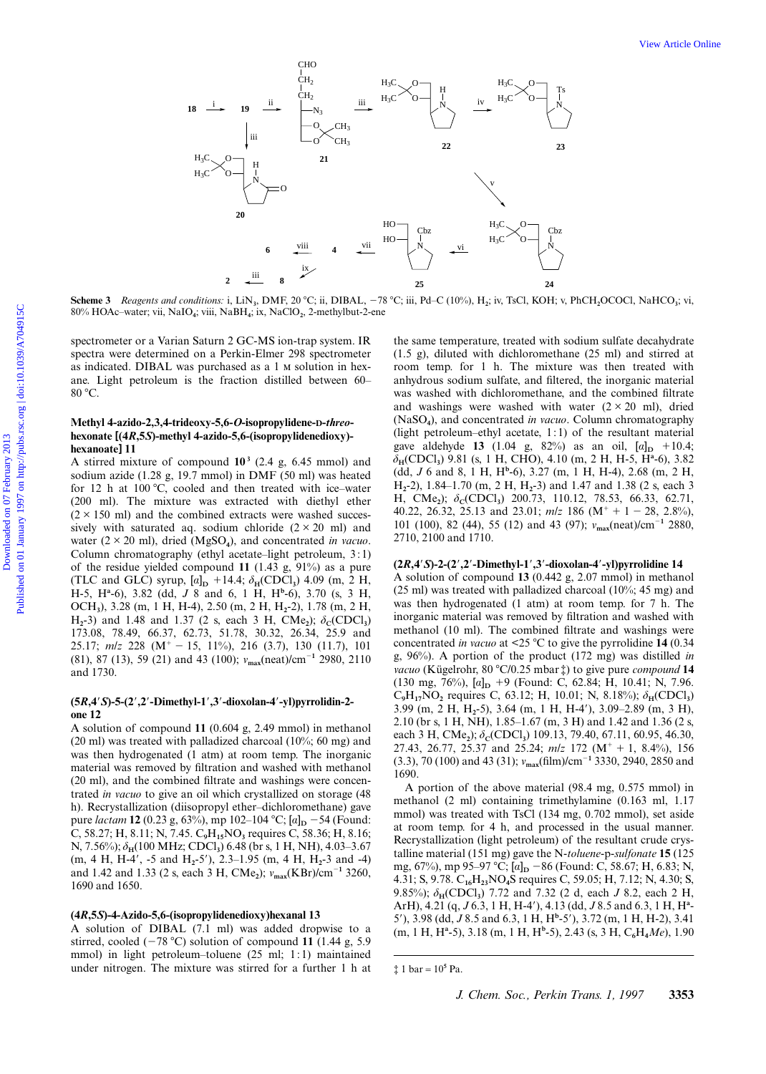

**Scheme 3** Reagents and conditions: i, LiN<sub>3</sub>, DMF, 20 °C; ii, DIBAL, -78 °C; iii, Pd–C (10%), H<sub>2</sub>; iv, TsCl, KOH; v, PhCH<sub>2</sub>OCOCl, NaHCO<sub>3</sub>; vi, 80% HOAc–water; vii, NaIO**4**; viii, NaBH**4**; ix, NaClO**2**, 2-methylbut-2-ene

spectrometer or a Varian Saturn 2 GC-MS ion-trap system. IR spectra were determined on a Perkin-Elmer 298 spectrometer as indicated. DIBAL was purchased as a 1  $\mu$  solution in hexane. Light petroleum is the fraction distilled between 60– 80 °C.

#### **Methyl 4-azido-2,3,4-trideoxy-5,6-***O***-isopropylidene-D-***threo***hexonate [(4***R***,5***S***)-methyl 4-azido-5,6-(isopropylidenedioxy) hexanoate] 11**

A stirred mixture of compound  $10^3$  (2.4 g, 6.45 mmol) and sodium azide (1.28 g, 19.7 mmol) in DMF (50 ml) was heated for 12 h at 100 °C, cooled and then treated with ice-water (200 ml). The mixture was extracted with diethyl ether  $(2 \times 150$  ml) and the combined extracts were washed successively with saturated aq. sodium chloride  $(2 \times 20$  ml) and water  $(2 \times 20 \text{ ml})$ , dried (MgSO<sub>4</sub>), and concentrated *in vacuo*. Column chromatography (ethyl acetate–light petroleum, 3:1) of the residue yielded compound **11** (1.43 g, 91%) as a pure (TLC and GLC) syrup,  $[a]_D$  +14.4;  $\delta_H$ (CDCl<sub>3</sub>) 4.09 (m, 2 H, H-5, H**<sup>a</sup>** -6), 3.82 (dd, *J* 8 and 6, 1 H, H**<sup>b</sup>** -6), 3.70 (s, 3 H, OCH**3**), 3.28 (m, 1 H, H-4), 2.50 (m, 2 H, H**2**-2), 1.78 (m, 2 H, H<sub>2</sub>-3) and 1.48 and 1.37 (2 s, each 3 H, CMe<sub>2</sub>);  $\delta_c$ (CDCl<sub>3</sub>) 173.08, 78.49, 66.37, 62.73, 51.78, 30.32, 26.34, 25.9 and 25.17;  $m/z$  228 (M<sup>+</sup> - 15, 11%), 216 (3.7), 130 (11.7), 101 (81), 87 (13), 59 (21) and 43 (100);  $v_{\text{max}}(\text{neat})/\text{cm}^{-1}$  2980, 2110 and 1730.

## **(5***R***,4**9*S***)-5-(2**9**,2**9**-Dimethyl-1**9**,3**9**-dioxolan-4**9**-yl)pyrrolidin-2 one 12**

A solution of compound **11** (0.604 g, 2.49 mmol) in methanol (20 ml) was treated with palladized charcoal (10%; 60 mg) and was then hydrogenated (1 atm) at room temp. The inorganic material was removed by filtration and washed with methanol (20 ml), and the combined filtrate and washings were concentrated *in vacuo* to give an oil which crystallized on storage (48 h). Recrystallization (diisopropyl ether–dichloromethane) gave pure *lactam* **12** (0.23 g, 63%), mp 102–104 °C;  $[a]_D$  –54 (Found: C, 58.27; H, 8.11; N, 7.45. C**9**H**15**NO**3** requires C, 58.36; H, 8.16; N, 7.56%);  $\delta_H(100 \text{ MHz}; \text{CDCl}_3)$  6.48 (br s, 1 H, NH), 4.03–3.67 (m, 4 H, H-4', -5 and H<sub>2</sub>-5'), 2.3–1.95 (m, 4 H, H<sub>2</sub>-3 and -4) and 1.42 and 1.33 (2 s, each 3 H, CMe<sub>2</sub>);  $v_{\text{max}}(\text{KBr})/\text{cm}^{-1}$  3260, 1690 and 1650.

## **(4***R***,5***S***)-4-Azido-5,6-(isopropylidenedioxy)hexanal 13**

A solution of DIBAL (7.1 ml) was added dropwise to a stirred, cooled  $(-78 \degree C)$  solution of compound 11 (1.44 g, 5.9) mmol) in light petroleum–toluene (25 ml; 1:1) maintained under nitrogen. The mixture was stirred for a further 1 h at

the same temperature, treated with sodium sulfate decahydrate (1.5 g), diluted with dichloromethane (25 ml) and stirred at room temp. for 1 h. The mixture was then treated with anhydrous sodium sulfate, and filtered, the inorganic material was washed with dichloromethane, and the combined filtrate and washings were washed with water  $(2 \times 20$  ml), dried (NaSO**4**), and concentrated *in vacuo*. Column chromatography (light petroleum–ethyl acetate,  $1:1$ ) of the resultant material gave aldehyde **13** (1.04 g, 82%) as an oil,  $[a]_D$  +10.4; δ**H**(CDCl**3**) 9.81 (s, 1 H, CHO), 4.10 (m, 2 H, H-5, H**<sup>a</sup>** -6), 3.82 (dd, *J* 6 and 8, 1 H, H**<sup>b</sup>** -6), 3.27 (m, 1 H, H-4), 2.68 (m, 2 H, H**2**-2), 1.84–1.70 (m, 2 H, H**2**-3) and 1.47 and 1.38 (2 s, each 3 H, CMe<sub>2</sub>);  $\delta$ <sub>C</sub>(CDCl<sub>3</sub>) 200.73, 110.12, 78.53, 66.33, 62.71, 40.22, 26.32, 25.13 and 23.01;  $m/z$  186 (M<sup>+</sup> + 1 - 28, 2.8%), 101 (100), 82 (44), 55 (12) and 43 (97);  $v_{\text{max}}(\text{neat})/\text{cm}^{-1}$  2880, 2710, 2100 and 1710.

#### **(2***R***,4**9*S***)-2-(2**9**,2**9**-Dimethyl-1**9**,3**9**-dioxolan-4**9**-yl)pyrrolidine 14**

A solution of compound **13** (0.442 g, 2.07 mmol) in methanol  $(25 \text{ ml})$  was treated with palladized charcoal  $(10\%; 45 \text{ mg})$  and was then hydrogenated (1 atm) at room temp. for 7 h. The inorganic material was removed by filtration and washed with methanol (10 ml). The combined filtrate and washings were concentrated *in vacuo* at <25  $\degree$ C to give the pyrrolidine **14** (0.34) g, 96%). A portion of the product (172 mg) was distilled *in vacuo* (Kügelrohr, 80 °C/0.25 mbar  $\ddagger$ ) to give pure *compound* 14 (130 mg, 76%),  $[a]_D$  +9 (Found: C, 62.84; H, 10.41; N, 7.96.  $C_9H_{17}NO_2$  requires C, 63.12; H, 10.01; N, 8.18%);  $\delta_H(CDCl_3)$ 3.99 (m, 2 H, H<sub>2</sub>-5), 3.64 (m, 1 H, H-4'), 3.09–2.89 (m, 3 H), 2.10 (br s, 1 H, NH), 1.85–1.67 (m, 3 H) and 1.42 and 1.36 (2 s, each 3 H, CMe<sub>2</sub>); δ<sub>C</sub>(CDCl<sub>3</sub>) 109.13, 79.40, 67.11, 60.95, 46.30, 27.43, 26.77, 25.37 and 25.24;  $m/z$  172 ( $M^+ + 1$ , 8.4%), 156 (3.3), 70 (100) and 43 (31);  $v_{\text{max}}$ (film)/cm<sup>-1</sup> 3330, 2940, 2850 and 1690.

A portion of the above material (98.4 mg, 0.575 mmol) in methanol (2 ml) containing trimethylamine (0.163 ml, 1.17 mmol) was treated with TsCl (134 mg, 0.702 mmol), set aside at room temp. for 4 h, and processed in the usual manner. Recrystallization (light petroleum) of the resultant crude crystalline material (151 mg) gave the N-*toluene*-p-*sulfonate* **15** (125 mg, 67%), mp 95–97 °C; [a]<sub>D</sub> – 86 (Found: C, 58.67; H, 6.83; N, 4.31; S, 9.78. C**16**H**23**NO**4**S requires C, 59.05; H, 7.12; N, 4.30; S, 9.85%);  $\delta$ <sub>H</sub>(CDCl<sub>3</sub>) 7.72 and 7.32 (2 d, each *J* 8.2, each 2 H, ArH), 4.21 (q, *J* 6.3, 1 H, H-4'), 4.13 (dd, *J* 8.5 and 6.3, 1 H, H<sup>a</sup>-59), 3.98 (dd, *J* 8.5 and 6.3, 1 H, H**<sup>b</sup>** -59), 3.72 (m, 1 H, H-2), 3.41 (m, 1 H, H**<sup>a</sup>** -5), 3.18 (m, 1 H, H**<sup>b</sup>** -5), 2.43 (s, 3 H, C**6**H**4***Me*), 1.90

 $\ddagger$  1 bar =  $10^5$  Pa.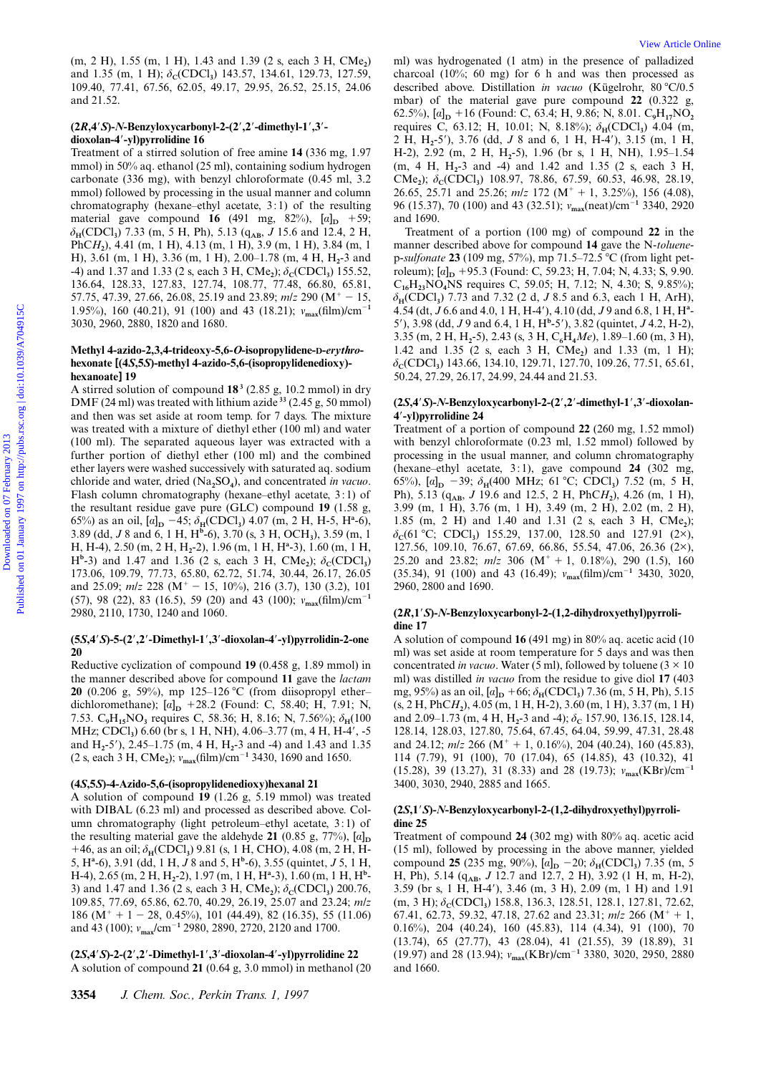(m, 2 H), 1.55 (m, 1 H), 1.43 and 1.39 (2 s, each 3 H, CMe<sub>2</sub>) and 1.35 (m, 1 H); δ<sub>C</sub>(CDCl<sub>3</sub>) 143.57, 134.61, 129.73, 127.59, 109.40, 77.41, 67.56, 62.05, 49.17, 29.95, 26.52, 25.15, 24.06 and 21.52.

## **(2***R***,4**9*S***)-***N***-Benzyloxycarbonyl-2-(2**9**,2**9**-dimethyl-1**9**,3**9 **dioxolan-4**9**-yl)pyrrolidine 16**

Treatment of a stirred solution of free amine **14** (336 mg, 1.97 mmol) in 50% aq. ethanol (25 ml), containing sodium hydrogen carbonate (336 mg), with benzyl chloroformate (0.45 ml, 3.2 mmol) followed by processing in the usual manner and column chromatography (hexane–ethyl acetate, 3:1) of the resulting material gave compound **16** (491 mg, 82%),  $[a]_D$  +59;  $\delta_{\text{H}}(\text{CDCl}_3)$  7.33 (m, 5 H, Ph), 5.13 (q<sub>AB</sub>, *J* 15.6 and 12.4, 2 H, PhC*H***2**), 4.41 (m, 1 H), 4.13 (m, 1 H), 3.9 (m, 1 H), 3.84 (m, 1 H), 3.61 (m, 1 H), 3.36 (m, 1 H), 2.00–1.78 (m, 4 H, H**2**-3 and  $-4$ ) and 1.37 and 1.33 (2 s, each 3 H, CMe<sub>2</sub>);  $\delta_c$ (CDCl<sub>3</sub>) 155.52, 136.64, 128.33, 127.83, 127.74, 108.77, 77.48, 66.80, 65.81, 57.75, 47.39, 27.66, 26.08, 25.19 and 23.89;  $m/z$  290 (M<sup>+</sup> - 15, 1.95%), 160 (40.21), 91 (100) and 43 (18.21);  $v_{\text{max}}(\text{film})/\text{cm}^{-1}$ 3030, 2960, 2880, 1820 and 1680.

## **Methyl 4-azido-2,3,4-trideoxy-5,6-***O***-isopropylidene-D-***erythro***hexonate [(4***S***,5***S***)-methyl 4-azido-5,6-(isopropylidenedioxy) hexanoate] 19**

A stirred solution of compound **18 <sup>3</sup>** (2.85 g, 10.2 mmol) in dry DMF (24 ml) was treated with lithium azide **<sup>33</sup>** (2.45 g, 50 mmol) and then was set aside at room temp. for 7 days. The mixture was treated with a mixture of diethyl ether (100 ml) and water (100 ml). The separated aqueous layer was extracted with a further portion of diethyl ether (100 ml) and the combined ether layers were washed successively with saturated aq. sodium chloride and water, dried (Na**2**SO**4**), and concentrated *in vacuo*. Flash column chromatography (hexane–ethyl acetate, 3 : 1) of the resultant residue gave pure (GLC) compound **19** (1.58 g, 65%) as an oil,  $[a]_D$  -45;  $\delta_H(CDCl_3)$  4.07 (m, 2 H, H-5, H<sup>a</sup>-6), 3.89 (dd, *J* 8 and 6, 1 H, H**<sup>b</sup>** -6), 3.70 (s, 3 H, OCH**3**), 3.59 (m, 1 H, H-4), 2.50 (m, 2 H, H**2**-2), 1.96 (m, 1 H, H**<sup>a</sup>** -3), 1.60 (m, 1 H,  $H^b$ -3) and 1.47 and 1.36 (2 s, each 3 H, CMe<sub>2</sub>);  $\delta_c$ (CDCl<sub>3</sub>) 173.06, 109.79, 77.73, 65.80, 62.72, 51.74, 30.44, 26.17, 26.05 and 25.09;  $m/z$  228 (M<sup>+</sup> - 15, 10%), 216 (3.7), 130 (3.2), 101 (57), 98 (22), 83 (16.5), 59 (20) and 43 (100);  $v_{\text{max}}(\text{film})/\text{cm}^{-1}$ 2980, 2110, 1730, 1240 and 1060. (m, 211), 1.55 (m, 111), 1.43 and 1.39 (k) and 1.14 (c) and 111 (c) was better small of lend to the present of published on 01 January 1997 on 01 January 1997 on the present of a model on 01 January 1997 on the present of

## **(5***S***,4**9*S***)-5-(2**9**,2**9**-Dimethyl-1**9**,3**9**-dioxolan-4**9**-yl)pyrrolidin-2-one 20**

Reductive cyclization of compound **19** (0.458 g, 1.89 mmol) in the manner described above for compound **11** gave the *lactam* **20** (0.206 g, 59%), mp 125-126 °C (from diisopropyl etherdichloromethane);  $[a]_D$  +28.2 (Found: C, 58.40; H, 7.91; N, 7.53. C<sub>9</sub>H<sub>15</sub>NO<sub>3</sub> requires C, 58.36; H, 8.16; N, 7.56%);  $\delta_H(100)$ MHz; CDCl<sub>3</sub>) 6.60 (br s, 1 H, NH), 4.06-3.77 (m, 4 H, H-4', -5 and H<sub>2</sub>-5'), 2.45–1.75 (m, 4 H, H<sub>2</sub>-3 and -4) and 1.43 and 1.35 (2 s, each 3 H, CMe**2**); ν**max**(film)/cm<sup>2</sup>**<sup>1</sup>** 3430, 1690 and 1650.

## **(4***S***,5***S***)-4-Azido-5,6-(isopropylidenedioxy)hexanal 21**

A solution of compound **19** (1.26 g, 5.19 mmol) was treated with DIBAL (6.23 ml) and processed as described above. Column chromatography (light petroleum–ethyl acetate, 3:1) of the resulting material gave the aldehyde **21** (0.85 g, 77%),  $[a]_D$ +46, as an oil;  $\delta$ <sub>H</sub>(CDCl<sub>3</sub>) 9.81 (s, 1 H, CHO), 4.08 (m, 2 H, H-5, H**<sup>a</sup>** -6), 3.91 (dd, 1 H, *J* 8 and 5, H**<sup>b</sup>** -6), 3.55 (quintet, *J* 5, 1 H, H-4), 2.65 (m, 2 H, H**2**-2), 1.97 (m, 1 H, H**<sup>a</sup>** -3), 1.60 (m, 1 H, H**<sup>b</sup>** - 3) and 1.47 and 1.36 (2 s, each 3 H, CMe<sub>2</sub>);  $\delta_c$ (CDCl<sub>3</sub>) 200.76, 109.85, 77.69, 65.86, 62.70, 40.29, 26.19, 25.07 and 23.24; *m/z* 186 ( $M^+$  + 1 - 28, 0.45%), 101 (44.49), 82 (16.35), 55 (11.06) and 43 (100); ν**max**/cm<sup>2</sup>**<sup>1</sup>** 2980, 2890, 2720, 2120 and 1700.

## **(2***S***,4**9*S***)-2-(2**9**,2**9**-Dimethyl-1**9**,3**9**-dioxolan-4**9**-yl)pyrrolidine 22**

A solution of compound **21** (0.64 g, 3.0 mmol) in methanol (20

ml) was hydrogenated (1 atm) in the presence of palladized charcoal (10%; 60 mg) for 6 h and was then processed as described above. Distillation *in vacuo* (Kügelrohr, 80 °C/0.5 mbar) of the material gave pure compound **22** (0.322 g, 62.5%),  $[a]_D$  +16 (Found: C, 63.4; H, 9.86; N, 8.01.  $C_9H_{17}NO_2$ requires C, 63.12; H, 10.01; N, 8.18%);  $δ_H(CDCl_3)$  4.04 (m, 2 H, H<sub>2</sub>-5'), 3.76 (dd, *J* 8 and 6, 1 H, H-4'), 3.15 (m, 1 H, H-2), 2.92 (m, 2 H, H**2**-5), 1.96 (br s, 1 H, NH), 1.95–1.54 (m, 4 H, H**2**-3 and -4) and 1.42 and 1.35 (2 s, each 3 H, CMe<sub>2</sub>); δ<sub>C</sub>(CDCl<sub>3</sub>) 108.97, 78.86, 67.59, 60.53, 46.98, 28.19, 26.65, 25.71 and 25.26;  $m/z$  172 (M<sup>+</sup> + 1, 3.25%), 156 (4.08), 96 (15.37), 70 (100) and 43 (32.51); ν<sub>max</sub>(neat)/cm<sup>-1</sup> 3340, 2920 and 1690.

Treatment of a portion (100 mg) of compound **22** in the manner described above for compound **14** gave the N-*toluene*p-sulfonate 23 (109 mg, 57%), mp 71.5-72.5 °C (from light petroleum);  $[a]_D$  +95.3 (Found: C, 59.23; H, 7.04; N, 4.33; S, 9.90. C**16**H**23**NO**4**NS requires C, 59.05; H, 7.12; N, 4.30; S, 9.85%); δ**H**(CDCl**3**) 7.73 and 7.32 (2 d, *J* 8.5 and 6.3, each 1 H, ArH), 4.54 (dt, *J* 6.6 and 4.0, 1 H, H-4'), 4.10 (dd, *J* 9 and 6.8, 1 H, H<sup>a</sup>-5'), 3.98 (dd, *J* 9 and 6.4, 1 H, H<sup>b</sup>-5'), 3.82 (quintet, *J* 4.2, H-2), 3.35 (m, 2 H, H**2**-5), 2.43 (s, 3 H, C**6**H**4***Me*), 1.89–1.60 (m, 3 H), 1.42 and 1.35 (2 s, each 3 H, CMe<sub>2</sub>) and 1.33 (m, 1 H); δ**C**(CDCl**3**) 143.66, 134.10, 129.71, 127.70, 109.26, 77.51, 65.61, 50.24, 27.29, 26.17, 24.99, 24.44 and 21.53.

## **(2***S***,4**9*S***)-***N***-Benzyloxycarbonyl-2-(2**9**,2**9**-dimethyl-1**9**,3**9**-dioxolan-4**9**-yl)pyrrolidine 24**

Treatment of a portion of compound **22** (260 mg, 1.52 mmol) with benzyl chloroformate (0.23 ml, 1.52 mmol) followed by processing in the usual manner, and column chromatography (hexane–ethyl acetate, 3 : 1), gave compound **24** (302 mg, 65%),  $[a]_D$  -39;  $\delta_H(400 \text{ MHz}; 61 \text{ °C}; \text{ CDCl}_3)$  7.52 (m, 5 H, Ph), 5.13 (q<sub>AB</sub>, *J* 19.6 and 12.5, 2 H, PhC*H*<sub>2</sub>), 4.26 (m, 1 H), 3.99 (m, 1 H), 3.76 (m, 1 H), 3.49 (m, 2 H), 2.02 (m, 2 H), 1.85 (m, 2 H) and 1.40 and 1.31 (2 s, each 3 H, CMe<sub>2</sub>);  $\delta_c$ (61 °C; CDCl<sub>3</sub>) 155.29, 137.00, 128.50 and 127.91 (2×), 127.56, 109.10, 76.67, 67.69, 66.86, 55.54, 47.06, 26.36 (2×), 25.20 and 23.82;  $m/z$  306 (M<sup>+</sup> + 1, 0.18%), 290 (1.5), 160 (35.34), 91 (100) and 43 (16.49);  $v_{\text{max}}$ (film)/cm<sup>-1</sup> 3430, 3020, 2960, 2800 and 1690.

#### **(2***R***,1**9*S***)-***N***-Benzyloxycarbonyl-2-(1,2-dihydroxyethyl)pyrrolidine 17**

A solution of compound **16** (491 mg) in 80% aq. acetic acid (10 ml) was set aside at room temperature for 5 days and was then concentrated *in vacuo*. Water (5 ml), followed by toluene ( $3 \times 10$ ) ml) was distilled *in vacuo* from the residue to give diol **17** (403 mg, 95%) as an oil,  $[a]_D$  +66;  $\delta_H(CDCl_3)$  7.36 (m, 5 H, Ph), 5.15 (s, 2 H, PhC*H***2**), 4.05 (m, 1 H, H-2), 3.60 (m, 1 H), 3.37 (m, 1 H) and 2.09–1.73 (m, 4 H, H<sub>2</sub>-3 and -4); δ<sub>c</sub> 157.90, 136.15, 128.14, 128.14, 128.03, 127.80, 75.64, 67.45, 64.04, 59.99, 47.31, 28.48 and 24.12;  $m/z$  266 (M<sup>+</sup> + 1, 0.16%), 204 (40.24), 160 (45.83), 114 (7.79), 91 (100), 70 (17.04), 65 (14.85), 43 (10.32), 41 (15.28), 39 (13.27), 31 (8.33) and 28 (19.73);  $v_{\text{max}}(KBr)/cm^{-1}$ 3400, 3030, 2940, 2885 and 1665.

#### **(2***S***,1**9*S***)-***N***-Benzyloxycarbonyl-2-(1,2-dihydroxyethyl)pyrrolidine 25**

Treatment of compound **24** (302 mg) with 80% aq. acetic acid (15 ml), followed by processing in the above manner, yielded compound **25** (235 mg, 90%),  $[a]_D$  -20;  $\delta_H(CDCl_3)$  7.35 (m, 5) H, Ph), 5.14 (q<sub>AB</sub>, *J* 12.7 and 12.7, 2 H), 3.92 (1 H, m, H-2), 3.59 (br s, 1 H, H-4'), 3.46 (m, 3 H), 2.09 (m, 1 H) and 1.91  $(m, 3 H)$ ;  $\delta_c$ (CDCl<sub>3</sub>) 158.8, 136.3, 128.51, 128.1, 127.81, 72.62, 67.41, 62.73, 59.32, 47.18, 27.62 and 23.31;  $m/z$  266 (M<sup>+</sup> + 1, 0.16%), 204 (40.24), 160 (45.83), 114 (4.34), 91 (100), 70 (13.74), 65 (27.77), 43 (28.04), 41 (21.55), 39 (18.89), 31 (19.97) and 28 (13.94);  $v_{\text{max}}(\text{KBr})/\text{cm}^{-1}$  3380, 3020, 2950, 2880 and 1660.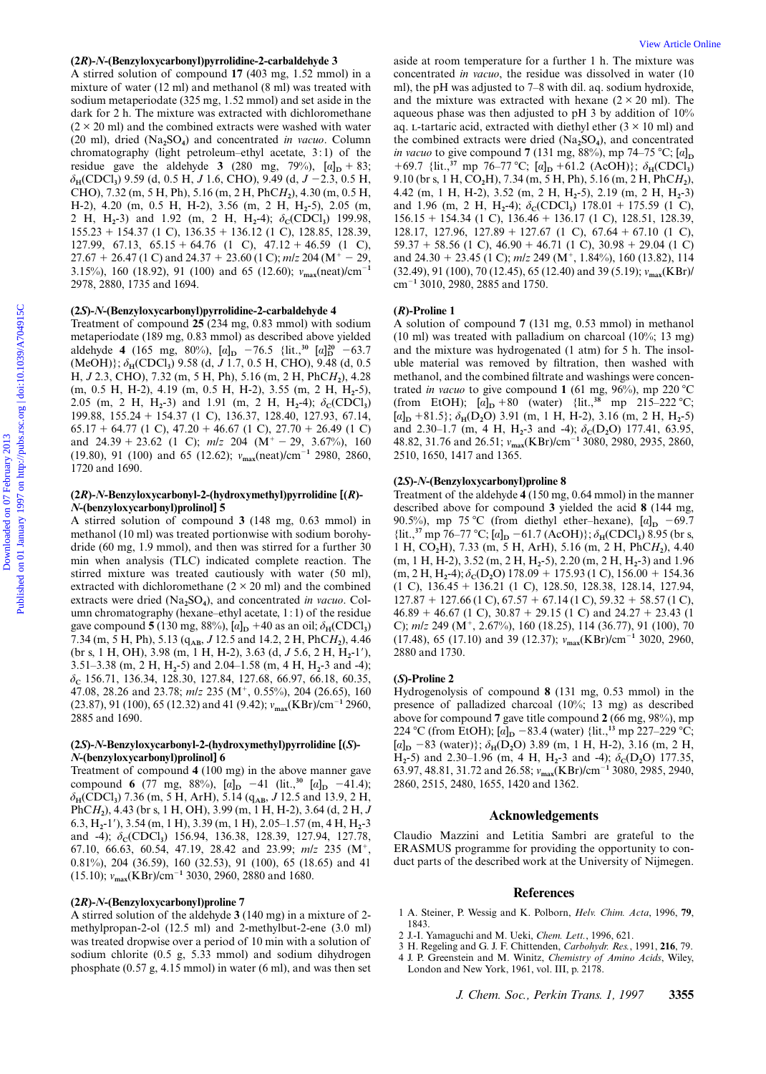#### **(2***R***)-***N***-(Benzyloxycarbonyl)pyrrolidine-2-carbaldehyde 3**

A stirred solution of compound **17** (403 mg, 1.52 mmol) in a mixture of water (12 ml) and methanol (8 ml) was treated with sodium metaperiodate (325 mg, 1.52 mmol) and set aside in the dark for 2 h. The mixture was extracted with dichloromethane  $(2 \times 20 \text{ ml})$  and the combined extracts were washed with water (20 ml), dried (Na**2**SO**4**) and concentrated *in vacuo*. Column chromatography (light petroleum–ethyl acetate, 3:1) of the residue gave the aldehyde **3** (280 mg, 79%),  $[a]_D + 83$ ;  $\delta_H(CDCl_3)$  9.59 (d, 0.5 H, *J* 1.6, CHO), 9.49 (d, *J* -2.3, 0.5 H, CHO), 7.32 (m, 5 H, Ph), 5.16 (m, 2 H, PhC*H***2**), 4.30 (m, 0.5 H, H-2), 4.20 (m, 0.5 H, H-2), 3.56 (m, 2 H, H**2**-5), 2.05 (m, 2 H, H<sub>2</sub>-3) and 1.92 (m, 2 H, H<sub>2</sub>-4);  $\delta_c(CDCI_3)$  199.98,  $155.23 + 154.37$  (1 C),  $136.35 + 136.12$  (1 C), 128.85, 128.39, 127.99, 67.13, 65.15 + 64.76 (1 C),  $47.12 + 46.59$  (1 C),  $27.67 + 26.47$  (1 C) and  $24.37 + 23.60$  (1 C);  $m/z$  204 (M<sup>+</sup> - 29, 3.15%), 160 (18.92), 91 (100) and 65 (12.60);  $v_{\text{max}}(\text{neat})/\text{cm}^{-1}$ 2978, 2880, 1735 and 1694.

#### **(2***S***)-***N***-(Benzyloxycarbonyl)pyrrolidine-2-carbaldehyde 4**

Treatment of compound **25** (234 mg, 0.83 mmol) with sodium metaperiodate (189 mg, 0.83 mmol) as described above yielded aldehyde **4** (165 mg, 80%),  $[a]_D$  -76.5 {lit.,<sup>30</sup>  $[a]_D^{20}$  -63.7 (MeOH)}; δ**H**(CDCl**3**) 9.58 (d, *J* 1.7, 0.5 H, CHO), 9.48 (d, 0.5 H, *J* 2.3, CHO), 7.32 (m, 5 H, Ph), 5.16 (m, 2 H, PhC*H***2**), 4.28 (m, 0.5 H, H-2), 4.19 (m, 0.5 H, H-2), 3.55 (m, 2 H, H**2**-5), 2.05 (m, 2 H, H<sub>2</sub>-3) and 1.91 (m, 2 H, H<sub>2</sub>-4);  $\delta_c(CDCl_3)$ 199.88, 155.24 1 154.37 (1 C), 136.37, 128.40, 127.93, 67.14,  $65.17 + 64.77$  (1 C),  $47.20 + 46.67$  (1 C),  $27.70 + 26.49$  (1 C) and  $24.39 + 23.62$  (1 C);  $m/z$  204 (M<sup>+</sup> - 29, 3.67%), 160 (19.80), 91 (100) and 65 (12.62);  $v_{\text{max}}(\text{neat})/\text{cm}^{-1}$  2980, 2860, 1720 and 1690.

## **(2***R***)-***N***-Benzyloxycarbonyl-2-(hydroxymethyl)pyrrolidine [(***R***)-** *N***-(benzyloxycarbonyl)prolinol] 5**

A stirred solution of compound **3** (148 mg, 0.63 mmol) in methanol (10 ml) was treated portionwise with sodium borohydride (60 mg, 1.9 mmol), and then was stirred for a further 30 min when analysis (TLC) indicated complete reaction. The stirred mixture was treated cautiously with water (50 ml), extracted with dichloromethane  $(2 \times 20 \text{ ml})$  and the combined extracts were dried (Na<sub>2</sub>SO<sub>4</sub>), and concentrated *in vacuo*. Column chromatography (hexane–ethyl acetate, 1:1) of the residue gave compound **5** (130 mg, 88%),  $[a]_D$  +40 as an oil;  $\delta_H$ (CDCl<sub>3</sub>) 7.34 (m, 5 H, Ph), 5.13 (q**AB**, *J* 12.5 and 14.2, 2 H, PhC*H***2**), 4.46 (br s, 1 H, OH), 3.98 (m, 1 H, H-2), 3.63 (d, *J* 5.6, 2 H, H<sub>2</sub>-1'), 3.51–3.38 (m, 2 H, H**2**-5) and 2.04–1.58 (m, 4 H, H**2**-3 and -4); δ**C** 156.71, 136.34, 128.30, 127.84, 127.68, 66.97, 66.18, 60.35, 47.08, 28.26 and 23.78;  $m/z$  235 (M<sup>+</sup>, 0.55%), 204 (26.65), 160 (23.87), 91 (100), 65 (12.32) and 41 (9.42); ν<sub>max</sub>(KBr)/cm<sup>-1</sup> 2960, 2885 and 1690.

## **(2***S***)-***N***-Benzyloxycarbonyl-2-(hydroxymethyl)pyrrolidine [(***S***)-** *N***-(benzyloxycarbonyl)prolinol] 6**

Treatment of compound **4** (100 mg) in the above manner gave compound **6** (77 mg, 88%),  $[a]_D$  -41 (lit.,<sup>30</sup>  $[a]_D$  -41.4); δ**H**(CDCl**3**) 7.36 (m, 5 H, ArH), 5.14 (q**AB**, *J* 12.5 and 13.9, 2 H, PhC*H***2**), 4.43 (br s, 1 H, OH), 3.99 (m, 1 H, H-2), 3.64 (d, 2 H, *J* 6.3, H**2**-19), 3.54 (m, 1 H), 3.39 (m, 1 H), 2.05–1.57 (m, 4 H, H**2**-3 and -4);  $\delta_c$ (CDCl<sub>3</sub>) 156.94, 136.38, 128.39, 127.94, 127.78, 67.10, 66.63, 60.54, 47.19, 28.42 and 23.99;  $m/z$  235 (M<sup>+</sup>, 0.81%), 204 (36.59), 160 (32.53), 91 (100), 65 (18.65) and 41 (15.10);  $v_{\text{max}}$ (KBr)/cm<sup>-1</sup> 3030, 2960, 2880 and 1680.

## **(2***R***)-***N-***(Benzyloxycarbonyl)proline 7**

A stirred solution of the aldehyde **3** (140 mg) in a mixture of 2 methylpropan-2-ol (12.5 ml) and 2-methylbut-2-ene (3.0 ml) was treated dropwise over a period of 10 min with a solution of sodium chlorite (0.5 g, 5.33 mmol) and sodium dihydrogen phosphate (0.57 g, 4.15 mmol) in water (6 ml), and was then set

aside at room temperature for a further 1 h. The mixture was concentrated *in vacuo*, the residue was dissolved in water (10 ml), the pH was adjusted to 7–8 with dil. aq. sodium hydroxide, and the mixture was extracted with hexane  $(2 \times 20$  ml). The aqueous phase was then adjusted to pH 3 by addition of 10% aq. L-tartaric acid, extracted with diethyl ether  $(3 \times 10 \text{ ml})$  and the combined extracts were dried (Na**2**SO**4**), and concentrated *in vacuo* to give compound **7** (131 mg, 88%), mp 74–75 °C;  $[a]_D$  $+69.7$  {lit.,<sup>37</sup> mp 76–77 °C; [a]<sub>D</sub> +61.2 (AcOH)};  $\delta_H(CDCl_3)$ 9.10 (br s, 1 H, CO**2**H), 7.34 (m, 5 H, Ph), 5.16 (m, 2 H, PhC*H***2**), 4.42 (m, 1 H, H-2), 3.52 (m, 2 H, H**2**-5), 2.19 (m, 2 H, H**2**-3) and 1.96 (m, 2 H, H<sub>2</sub>-4);  $\delta_c$ (CDCl<sub>3</sub>) 178.01 + 175.59 (1 C),  $156.15 + 154.34$  (1 C),  $136.46 + 136.17$  (1 C),  $128.51$ ,  $128.39$ , 128.17, 127.96, 127.89 + 127.67 (1 C),  $67.64 + 67.10$  (1 C),  $59.37 + 58.56$  (1 C),  $46.90 + 46.71$  (1 C),  $30.98 + 29.04$  (1 C) and  $24.30 + 23.45$  (1 C);  $m/z$  249 (M<sup>+</sup>, 1.84%), 160 (13.82), 114 (32.49), 91 (100), 70 (12.45), 65 (12.40) and 39 (5.19); ν**max**(KBr)/ cm<sup>2</sup>**<sup>1</sup>** 3010, 2980, 2885 and 1750. **CD**. **Alten,y keyen box players differe**. **2.critical condition** and it is constant as constant on the constant of the constant of the constant of the constant of the constant of the constant of the constant of the const

#### **(***R***)-Proline 1**

A solution of compound **7** (131 mg, 0.53 mmol) in methanol (10 ml) was treated with palladium on charcoal (10%; 13 mg) and the mixture was hydrogenated (1 atm) for 5 h. The insoluble material was removed by filtration, then washed with methanol, and the combined filtrate and washings were concentrated *in vacuo* to give compound 1 (61 mg, 96%), mp 220 °C (from EtOH);  $[a]_D + 80$  (water) {lit.,<sup>38</sup> mp 215–222 °C;  $[a]_D$  +81.5};  $\delta_H(D_2O)$  3.91 (m, 1 H, H-2), 3.16 (m, 2 H, H<sub>2</sub>-5) and 2.30–1.7 (m, 4 H, H<sub>2</sub>-3 and -4);  $\delta_c(D_2O)$  177.41, 63.95, 48.82, 31.76 and 26.51; ν**max**(KBr)/cm<sup>2</sup>**<sup>1</sup>** 3080, 2980, 2935, 2860, 2510, 1650, 1417 and 1365.

#### **(2***S***)-***N***-(Benzyloxycarbonyl)proline 8**

Treatment of the aldehyde **4** (150 mg, 0.64 mmol) in the manner described above for compound **3** yielded the acid **8** (144 mg, 90.5%), mp 75 °C (from diethyl ether–hexane),  $[a]_D$  -69.7  $\{$ lit.,<sup>37</sup> mp 76–77 °C;  $[a]_D - 61.7$  (AcOH)};  $\delta_H$ (CDCl<sub>3</sub>) 8.95 (br s, 1 H, CO**2**H), 7.33 (m, 5 H, ArH), 5.16 (m, 2 H, PhC*H***2**), 4.40 (m, 1 H, H-2), 3.52 (m, 2 H, H**2**-5), 2.20 (m, 2 H, H**2**-3) and 1.96  $(m, 2 H, H<sub>2</sub>-4); \delta_C(D_2O) 178.09 + 175.93 (1 C), 156.00 + 154.36$ (1 C), 136.45 1 136.21 (1 C), 128.50, 128.38, 128.14, 127.94,  $127.87 + 127.66$  (1 C),  $67.57 + 67.14$  (1 C),  $59.32 + 58.57$  (1 C),  $46.89 + 46.67$  (1 C),  $30.87 + 29.15$  (1 C) and  $24.27 + 23.43$  (1 C);  $mlz$  249 (M<sup>+</sup>, 2.67%), 160 (18.25), 114 (36.77), 91 (100), 70  $(17.48)$ , 65  $(17.10)$  and 39  $(12.37)$ ;  $v_{\text{max}}$ (KBr)/cm<sup>-1</sup> 3020, 2960, 2880 and 1730.

#### **(***S***)-Proline 2**

Hydrogenolysis of compound **8** (131 mg, 0.53 mmol) in the presence of palladized charcoal (10%; 13 mg) as described above for compound **7** gave title compound **2** (66 mg, 98%), mp 224 °C (from EtOH);  $[a]_D$  -83.4 (water) {lit.,<sup>13</sup> mp 227-229 °C;  $[a]_D$  -83 (water));  $\delta_H(D_2O)$  3.89 (m, 1 H, H-2), 3.16 (m, 2 H,  $H_2$ -5) and 2.30–1.96 (m, 4 H,  $H_2$ -3 and -4);  $\delta_c(D_2O)$  177.35, 63.97, 48.81, 31.72 and 26.58; ν**max**(KBr)/cm<sup>2</sup>**<sup>1</sup>** 3080, 2985, 2940, 2860, 2515, 2480, 1655, 1420 and 1362.

#### **Acknowledgements**

Claudio Mazzini and Letitia Sambri are grateful to the ERASMUS programme for providing the opportunity to conduct parts of the described work at the University of Nijmegen.

#### **References**

- 1 A. Steiner, P. Wessig and K. Polborn, *Helv. Chim. Acta*, 1996, **79**, 1843.
- 2 J.-I. Yamaguchi and M. Ueki, *Chem. Lett.*, 1996, 621.
- 3 H. Regeling and G. J. F. Chittenden, *Carbohydr. Res.*, 1991, **216**, 79.
- 4 J. P. Greenstein and M. Winitz, *Chemistry of Amino Acids*, Wiley, London and New York, 1961, vol. III, p. 2178.